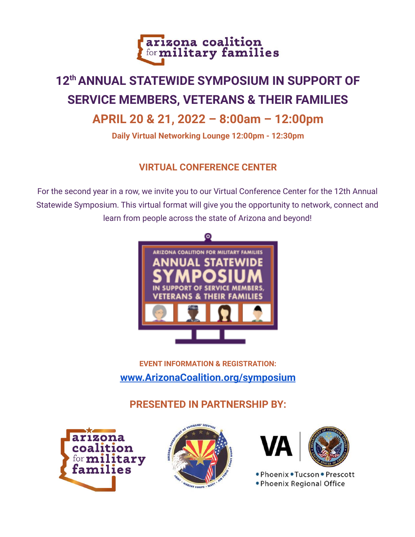

# **12thANNUAL STATEWIDE SYMPOSIUM IN SUPPORT OF SERVICE MEMBERS, VETERANS & THEIR FAMILIES**

# **APRIL 20 & 21, 2022 – 8:00am – 12:00pm**

**Daily Virtual Networking Lounge 12:00pm - 12:30pm**

## **VIRTUAL CONFERENCE CENTER**

For the second year in a row, we invite you to our Virtual Conference Center for the 12th Annual Statewide Symposium. This virtual format will give you the opportunity to network, connect and learn from people across the state of Arizona and beyond!



# **EVENT INFORMATION & REGISTRATION: [www.ArizonaCoalition.org/symposium](http://www.arizonacoalition.org/symposium)**

**PRESENTED IN PARTNERSHIP BY:**







. Phoenix . Tucson . Prescott . Phoenix Regional Office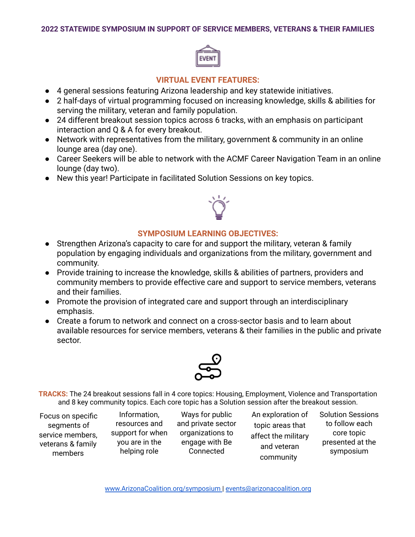

#### **VIRTUAL EVENT FEATURES:**

- 4 general sessions featuring Arizona leadership and key statewide initiatives.
- 2 half-days of virtual programming focused on increasing knowledge, skills & abilities for serving the military, veteran and family population.
- 24 different breakout session topics across 6 tracks, with an emphasis on participant interaction and Q & A for every breakout.
- Network with representatives from the military, government & community in an online lounge area (day one).
- Career Seekers will be able to network with the ACMF Career Navigation Team in an online lounge (day two).
- New this year! Participate in facilitated Solution Sessions on key topics.



#### **SYMPOSIUM LEARNING OBJECTIVES:**

- Strengthen Arizona's capacity to care for and support the military, veteran & family population by engaging individuals and organizations from the military, government and community.
- Provide training to increase the knowledge, skills & abilities of partners, providers and community members to provide effective care and support to service members, veterans and their families.
- Promote the provision of integrated care and support through an interdisciplinary emphasis.
- Create a forum to network and connect on a cross-sector basis and to learn about available resources for service members, veterans & their families in the public and private sector.



**TRACKS:** The 24 breakout sessions fall in 4 core topics: Housing, Employment, Violence and Transportation and 8 key community topics. Each core topic has a Solution session after the breakout session.

Focus on specific segments of service members, veterans & family members

Information, resources and support for when you are in the helping role

Ways for public and private sector organizations to engage with Be Connected

An exploration of topic areas that affect the military and veteran community

Solution Sessions to follow each core topic presented at the symposium